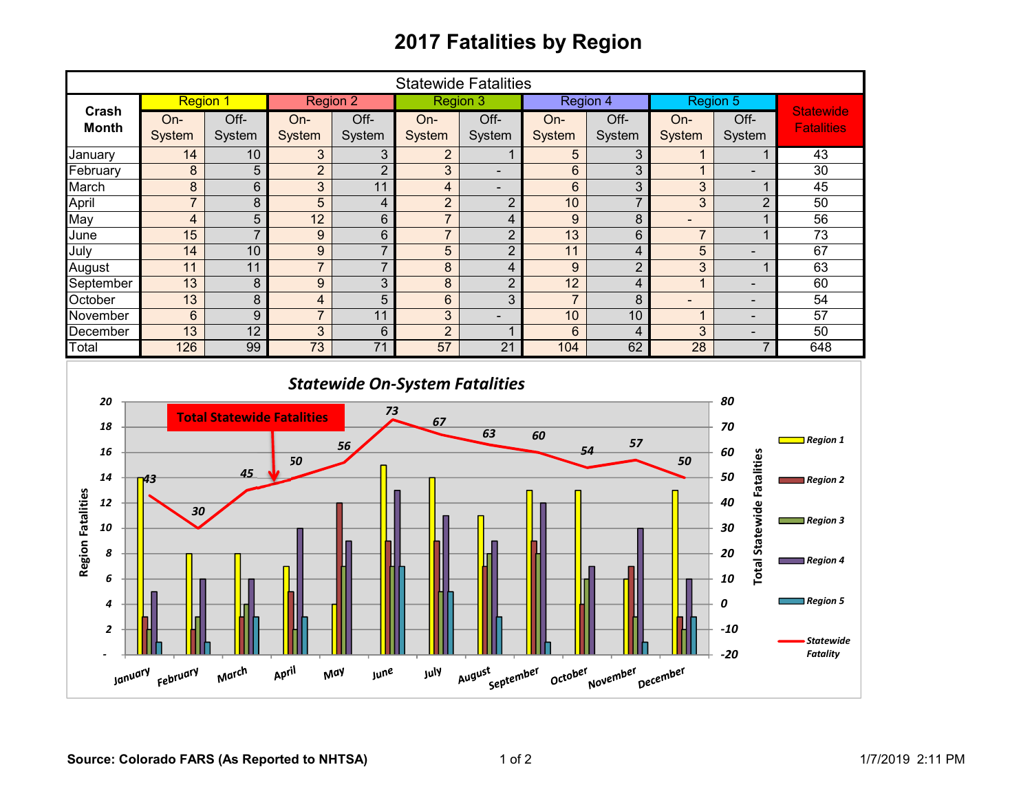## **2017 Fatalities by Region**

| <b>Statewide Fatalities</b>                                                                                                           |                 |                                         |                  |                         |                         |                          |                  |                         |                          |                                                                                  |                                                                                                              |
|---------------------------------------------------------------------------------------------------------------------------------------|-----------------|-----------------------------------------|------------------|-------------------------|-------------------------|--------------------------|------------------|-------------------------|--------------------------|----------------------------------------------------------------------------------|--------------------------------------------------------------------------------------------------------------|
|                                                                                                                                       | <b>Region 1</b> |                                         | <b>Region 2</b>  |                         | <b>Region 3</b>         |                          | Region 4         |                         | <b>Region 5</b>          |                                                                                  |                                                                                                              |
| Crash<br><b>Month</b>                                                                                                                 | On-             | Off-                                    | On-              | Off-                    | On-                     | Off-                     | On-              | Off-                    | On-                      | Off-                                                                             | <b>Statewide</b><br><b>Fatalities</b>                                                                        |
|                                                                                                                                       | System          | System                                  | System           | System                  | System                  | System                   | System           | System                  | System                   | System                                                                           |                                                                                                              |
| January                                                                                                                               | 14              | 10                                      | 3                | 3                       | $\overline{2}$          | $\mathbf{1}$             | $5\phantom{.0}$  | 3                       | $\mathbf{1}$             | 1                                                                                | 43                                                                                                           |
| February                                                                                                                              | 8               | 5                                       | $\overline{2}$   | $\overline{2}$          | $\overline{3}$          | $\blacksquare$           | $6\phantom{a}$   | 3                       | $\mathbf{1}$             | ÷,                                                                               | 30                                                                                                           |
| March                                                                                                                                 | $\overline{8}$  | 6                                       | $\overline{3}$   | 11                      | $\overline{\mathbf{4}}$ | $\overline{\phantom{a}}$ | $6\phantom{1}$   | $\overline{3}$          | 3                        | $\mathbf{1}$                                                                     | 45                                                                                                           |
| April                                                                                                                                 | $\overline{7}$  | 8                                       | 5                | $\overline{\mathbf{4}}$ | $\overline{2}$          | $\sqrt{2}$               | 10               | $\overline{7}$          | $\overline{3}$           | $\overline{2}$                                                                   | 50                                                                                                           |
| May                                                                                                                                   | $\overline{4}$  | $\overline{5}$                          | $\overline{12}$  | $6\phantom{a}$          | $\overline{7}$          | $\overline{\mathbf{4}}$  | $\boldsymbol{9}$ | 8                       | $\overline{\phantom{0}}$ | $\mathbf{1}$                                                                     | $\overline{56}$                                                                                              |
| June                                                                                                                                  | 15              | $\overline{7}$                          | $\boldsymbol{9}$ | $\overline{6}$          | $\overline{7}$          | $\overline{2}$           | 13               | $\overline{6}$          | $\overline{7}$           | $\mathbf{1}$                                                                     | $\overline{73}$                                                                                              |
| July                                                                                                                                  | 14              | 10                                      | $\boldsymbol{9}$ | $\overline{7}$          | 5                       | $\overline{2}$           | $\overline{11}$  | $\overline{\mathbf{4}}$ | $\overline{5}$           | $\blacksquare$                                                                   | 67                                                                                                           |
| August                                                                                                                                | 11              | 11                                      | $\overline{7}$   | $\overline{7}$          | $\overline{8}$          | $\overline{4}$           | $\overline{9}$   | $\overline{2}$          | $\overline{3}$           | $\mathbf{1}$                                                                     | 63                                                                                                           |
| September                                                                                                                             | 13              | $\bf 8$                                 | $\overline{9}$   | $\overline{3}$          | 8                       | $\overline{2}$           | $\overline{12}$  | $\overline{4}$          | $\mathbf{1}$             | $\overline{a}$                                                                   | 60                                                                                                           |
| October                                                                                                                               | $\overline{13}$ | $\overline{8}$                          | 4                | $\overline{5}$          | $6\phantom{a}$          | $\overline{3}$           | $\overline{7}$   | 8                       | ÷,                       | $\blacksquare$                                                                   | $\overline{54}$                                                                                              |
| November                                                                                                                              | $6\phantom{1}$  | 9                                       | $\overline{7}$   | 11                      | 3                       | $\blacksquare$           | 10               | 10                      | $\mathbf{1}$             | $\blacksquare$                                                                   | $\overline{57}$                                                                                              |
| December                                                                                                                              | $\overline{13}$ | $\overline{12}$                         | 3                | $6\phantom{1}$          | $\overline{2}$          | $\mathbf{1}$             | $6\phantom{1}$   | $\overline{4}$          | 3                        | $\blacksquare$                                                                   | 50                                                                                                           |
| Total                                                                                                                                 | 126             | 99                                      | 73               | $\overline{71}$         | 57                      | $\overline{21}$          | 104              | 62                      | $\overline{28}$          | $\overline{7}$                                                                   | 648                                                                                                          |
| 20<br>18<br>16<br>14                                                                                                                  | 43              | <b>Total Statewide Fatalities</b><br>45 | 50               | 73<br>56                | 67                      | 63                       | 60               | 57<br>54                | 50                       | 80<br>70<br>60<br>50                                                             | $\Box$ Region 1<br>$\blacksquare$ Region 2                                                                   |
| <b>Region Fatalities</b><br>12<br>10<br>8<br>6<br>4<br>$\overline{\mathbf{c}}$                                                        | 30              |                                         |                  |                         |                         |                          |                  |                         |                          | <b>Total Statewide Fatalities</b><br>40<br>30<br>20<br>10<br>0<br>$-10$<br>$-20$ | $\Box$ Region 3<br>$\blacksquare$ Region 4<br>$\blacksquare$ Region 5<br><b>Statewide</b><br><b>Fatality</b> |
| March<br>April<br>August<br>July<br>September<br>October<br>November<br>January <sub>February</sub><br>May<br><b>June</b><br>December |                 |                                         |                  |                         |                         |                          |                  |                         |                          |                                                                                  |                                                                                                              |